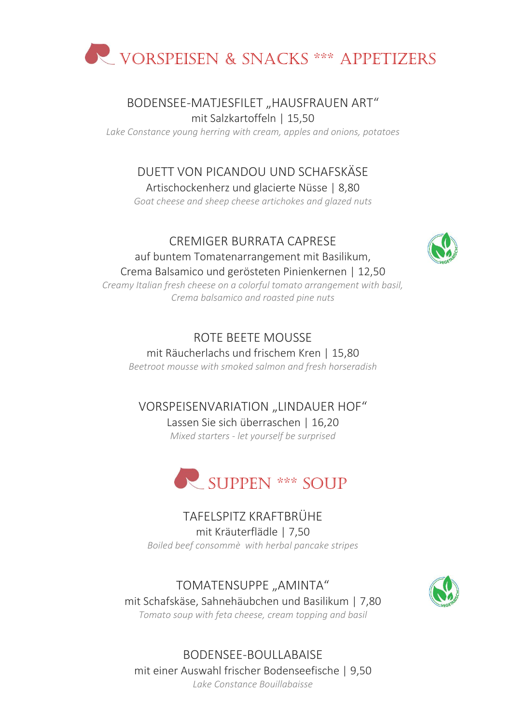

#### BODENSEE-MATJESFILET "HAUSFRAUEN ART" mit Salzkartoffeln | 15,50

*Lake Constance young herring with cream, apples and onions, potatoes*

## DUETT VON PICANDOU UND SCHAFSKÄSE

Artischockenherz und glacierte Nüsse | 8,80

*Goat cheese and sheep cheese artichokes and glazed nuts*

#### CREMIGER BURRATA CAPRESE

auf buntem Tomatenarrangement mit Basilikum, Crema Balsamico und gerösteten Pinienkernen | 12,50 *Creamy Italian fresh cheese on a colorful tomato arrangement with basil, Crema balsamico and roasted pine nuts*

## ROTE BEETE MOUSSE

mit Räucherlachs und frischem Kren | 15,80 *Beetroot mousse with smoked salmon and fresh horseradish*

## VORSPEISENVARIATION "LINDAUER HOF" Lassen Sie sich überraschen | 16,20

*Mixed starters - let yourself be surprised*



## TAFELSPITZ KRAFTBRÜHE mit Kräuterflädle | 7,50

*Boiled beef consommè with herbal pancake stripes*

#### TOMATENSUPPE "AMINTA" mit Schafskäse, Sahnehäubchen und Basilikum | 7,80 *Tomato soup with feta cheese, cream topping and basil*



BODENSEE-BOULLABAISE mit einer Auswahl frischer Bodenseefische | 9,50 *Lake Constance Bouillabaisse*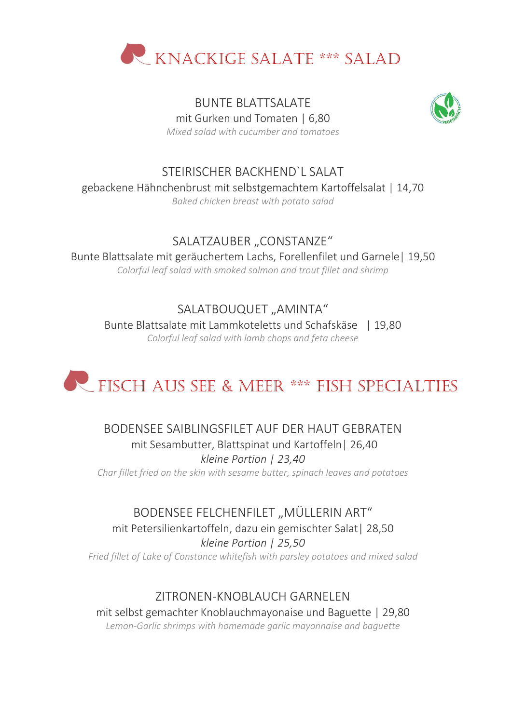

BUNTE BLATTSALATE mit Gurken und Tomaten | 6,80



*Mixed salad with cucumber and tomatoes*

#### STEIRISCHER BACKHEND`L SALAT gebackene Hähnchenbrust mit selbstgemachtem Kartoffelsalat | 14,70 *Baked chicken breast with potato salad*

## SALATZAUBER "CONSTANZE"

Bunte Blattsalate mit geräuchertem Lachs, Forellenfilet und Garnele| 19,50 *Colorful leaf salad with smoked salmon and trout fillet and shrimp*

SALATBOUQUET "AMINTA" Bunte Blattsalate mit Lammkoteletts und Schafskäse | 19,80 *Colorful leaf salad with lamb chops and feta cheese*

# **FISCH AUS SEE & MEER \*\*\* FISH SPECIALTIES**

### BODENSEE SAIBLINGSFILET AUF DER HAUT GEBRATEN mit Sesambutter, Blattspinat und Kartoffeln| 26,40 *kleine Portion | 23,40*

*Char fillet fried on the skin with sesame butter, spinach leaves and potatoes*

## BODENSEE FELCHENFILET "MÜLLERIN ART"

mit Petersilienkartoffeln, dazu ein gemischter Salat| 28,50 *kleine Portion | 25,50*

*Fried fillet of Lake of Constance whitefish with parsley potatoes and mixed salad*

## ZITRONEN-KNOBLAUCH GARNELEN

mit selbst gemachter Knoblauchmayonaise und Baguette | 29,80 *Lemon-Garlic shrimps with homemade garlic mayonnaise and baguette*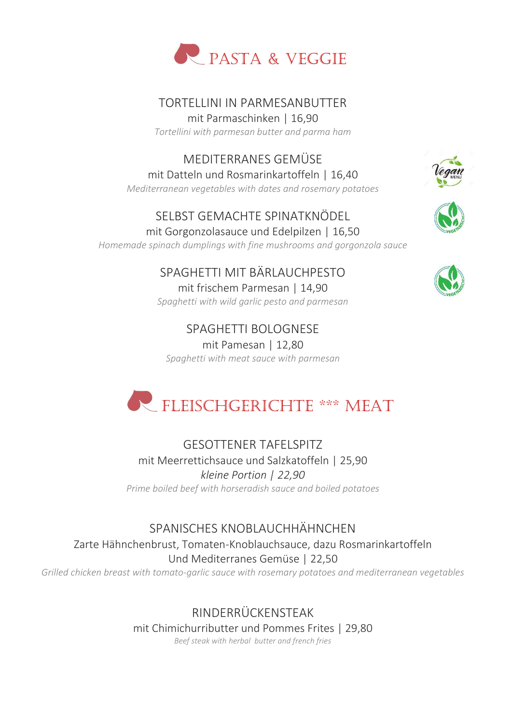

## TORTELLINI IN PARMESANBUTTER

mit Parmaschinken | 16,90 *Tortellini with parmesan butter and parma ham*

MEDITERRANES GEMÜSE

mit Datteln und Rosmarinkartoffeln | 16,40 *Mediterranean vegetables with dates and rosemary potatoes*

### SELBST GEMACHTE SPINATKNÖDEL mit Gorgonzolasauce und Edelpilzen | 16,50

*Homemade spinach dumplings with fine mushrooms and gorgonzola sauce*

# SPAGHETTI MIT BÄRLAUCHPESTO

mit frischem Parmesan | 14,90 *Spaghetti with wild garlic pesto and parmesan*

SPAGHETTI BOLOGNESE mit Pamesan | 12,80 *Spaghetti with meat sauce with parmesan*







# FLEISCHGERICHTE \*\*\* MEAT

GESOTTENER TAFELSPITZ mit Meerrettichsauce und Salzkatoffeln | 25,90 *kleine Portion | 22,90 Prime boiled beef with horseradish sauce and boiled potatoes*

## SPANISCHES KNOBLAUCHHÄHNCHEN Zarte Hähnchenbrust, Tomaten-Knoblauchsauce, dazu Rosmarinkartoffeln Und Mediterranes Gemüse | 22,50

*Grilled chicken breast with tomato-garlic sauce with rosemary potatoes and mediterranean vegetables*

RINDERRÜCKENSTEAK mit Chimichurributter und Pommes Frites | 29,80 *Beef steak with herbal butter and french fries*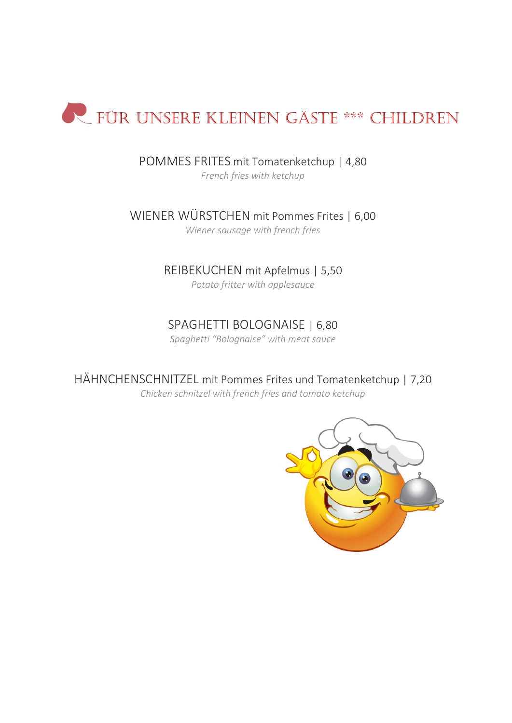

POMMES FRITES mit Tomatenketchup | 4,80

*French fries with ketchup*

WIENER WÜRSTCHEN mit Pommes Frites | 6,00 *Wiener sausage with french fries*

#### REIBEKUCHEN mit Apfelmus | 5,50

*Potato fritter with applesauce*

#### SPAGHETTI BOLOGNAISE | 6,80

*Spaghetti "Bolognaise" with meat sauce*

HÄHNCHENSCHNITZEL mit Pommes Frites und Tomatenketchup | 7,20 *Chicken schnitzel with french fries and tomato ketchup*